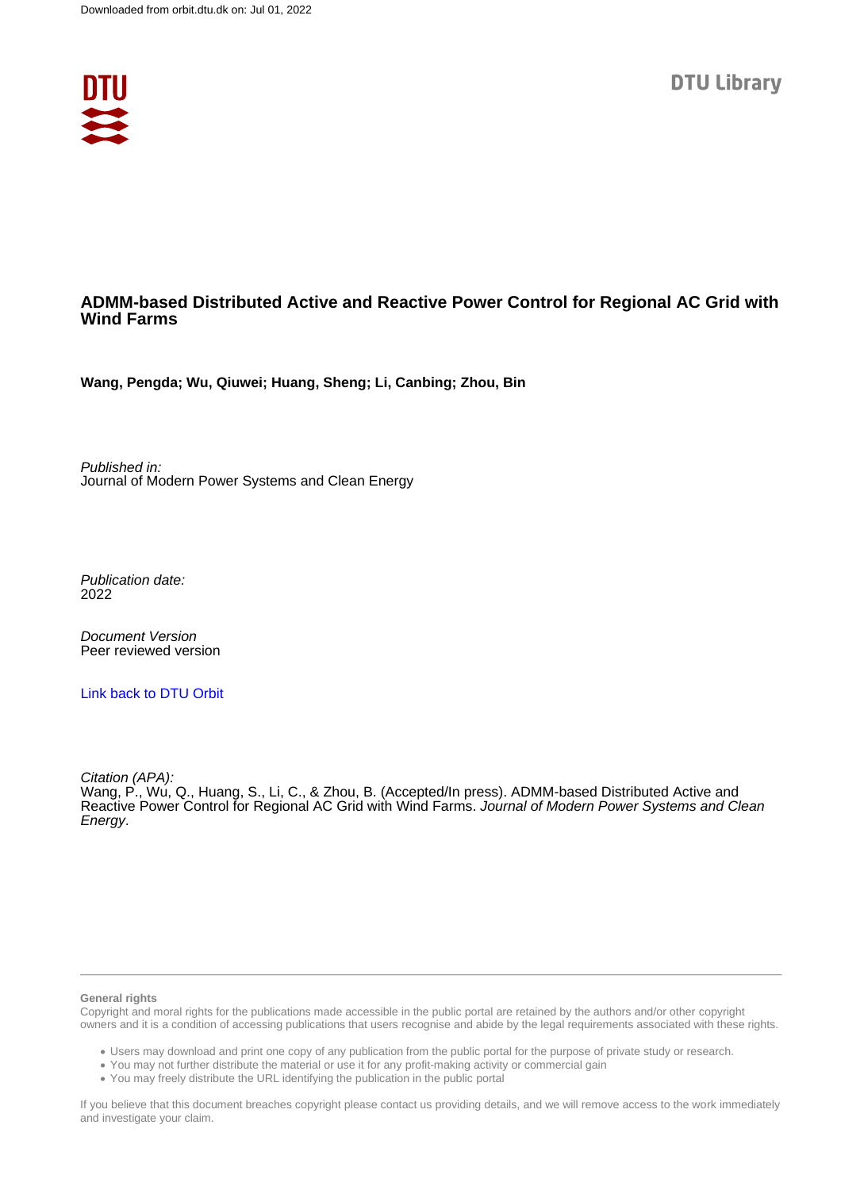

## **ADMM-based Distributed Active and Reactive Power Control for Regional AC Grid with Wind Farms**

**Wang, Pengda; Wu, Qiuwei; Huang, Sheng; Li, Canbing; Zhou, Bin**

Published in: Journal of Modern Power Systems and Clean Energy

Publication date: 2022

Document Version Peer reviewed version

[Link back to DTU Orbit](https://orbit.dtu.dk/en/publications/d1335522-bb41-4bb6-ab21-29a015283358)

Citation (APA):

Wang, P., Wu, Q., Huang, S., Li, C., & Zhou, B. (Accepted/In press). ADMM-based Distributed Active and Reactive Power Control for Regional AC Grid with Wind Farms. Journal of Modern Power Systems and Clean Energy.

#### **General rights**

Copyright and moral rights for the publications made accessible in the public portal are retained by the authors and/or other copyright owners and it is a condition of accessing publications that users recognise and abide by the legal requirements associated with these rights.

Users may download and print one copy of any publication from the public portal for the purpose of private study or research.

- You may not further distribute the material or use it for any profit-making activity or commercial gain
- You may freely distribute the URL identifying the publication in the public portal

If you believe that this document breaches copyright please contact us providing details, and we will remove access to the work immediately and investigate your claim.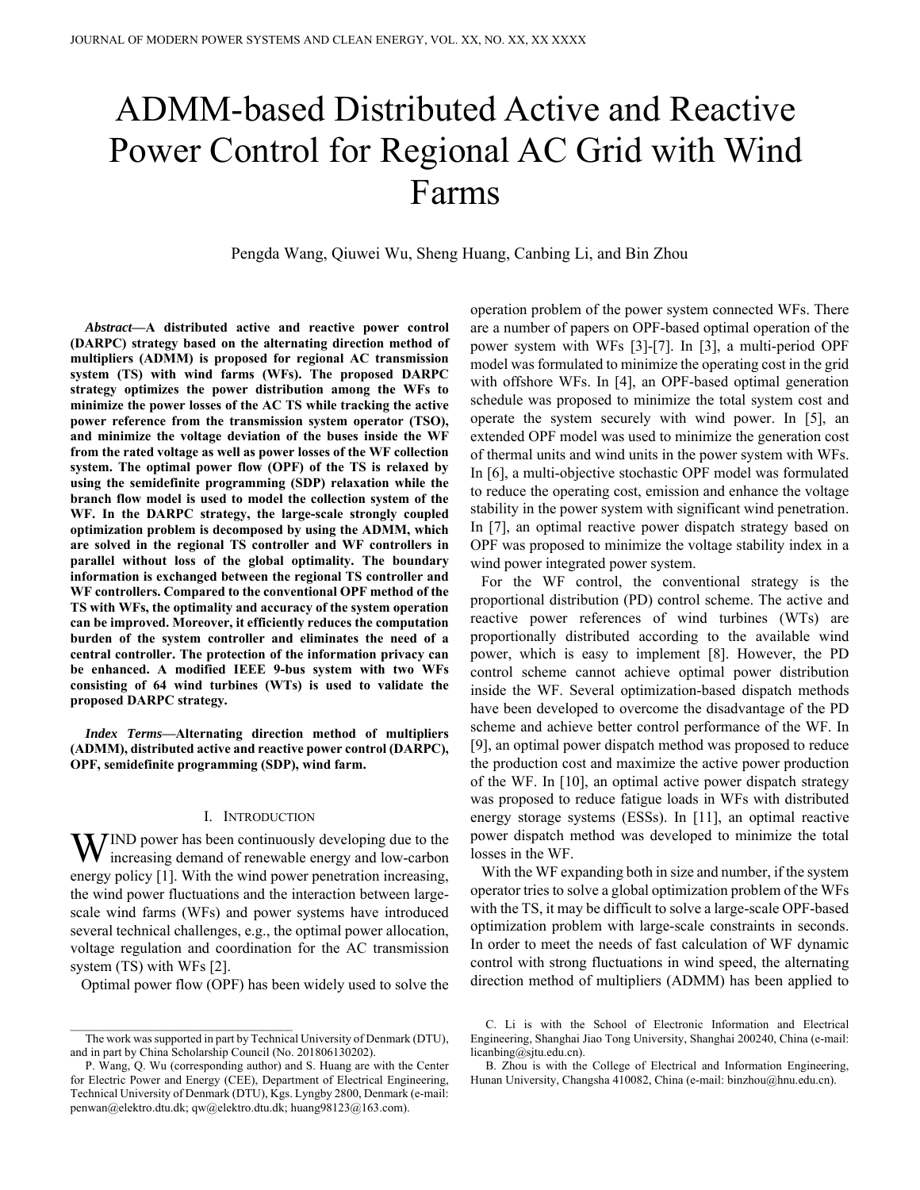# ADMM-based Distributed Active and Reactive Power Control for Regional AC Grid with Wind Farms

Pengda Wang, Qiuwei Wu, Sheng Huang, Canbing Li, and Bin Zhou

*Abstract***—A distributed active and reactive power control (DARPC) strategy based on the alternating direction method of multipliers (ADMM) is proposed for regional AC transmission system (TS) with wind farms (WFs). The proposed DARPC strategy optimizes the power distribution among the WFs to minimize the power losses of the AC TS while tracking the active power reference from the transmission system operator (TSO), and minimize the voltage deviation of the buses inside the WF from the rated voltage as well as power losses of the WF collection system. The optimal power flow (OPF) of the TS is relaxed by using the semidefinite programming (SDP) relaxation while the branch flow model is used to model the collection system of the WF. In the DARPC strategy, the large-scale strongly coupled optimization problem is decomposed by using the ADMM, which are solved in the regional TS controller and WF controllers in parallel without loss of the global optimality. The boundary information is exchanged between the regional TS controller and WF controllers. Compared to the conventional OPF method of the TS with WFs, the optimality and accuracy of the system operation can be improved. Moreover, it efficiently reduces the computation burden of the system controller and eliminates the need of a central controller. The protection of the information privacy can be enhanced. A modified IEEE 9-bus system with two WFs consisting of 64 wind turbines (WTs) is used to validate the proposed DARPC strategy.** 

*Index Terms***—Alternating direction method of multipliers (ADMM), distributed active and reactive power control (DARPC), OPF, semidefinite programming (SDP), wind farm.** 

## I. INTRODUCTION

IND power has been continuously developing due to the WIND power has been continuously developing due to the increasing demand of renewable energy and low-carbon energy policy [1]. With the wind power penetration increasing, the wind power fluctuations and the interaction between largescale wind farms (WFs) and power systems have introduced several technical challenges, e.g., the optimal power allocation, voltage regulation and coordination for the AC transmission system (TS) with WFs [2].

Optimal power flow (OPF) has been widely used to solve the

operation problem of the power system connected WFs. There are a number of papers on OPF-based optimal operation of the power system with WFs [3]-[7]. In [3], a multi-period OPF model was formulated to minimize the operating cost in the grid with offshore WFs. In [4], an OPF-based optimal generation schedule was proposed to minimize the total system cost and operate the system securely with wind power. In [5], an extended OPF model was used to minimize the generation cost of thermal units and wind units in the power system with WFs. In [6], a multi-objective stochastic OPF model was formulated to reduce the operating cost, emission and enhance the voltage stability in the power system with significant wind penetration. In [7], an optimal reactive power dispatch strategy based on OPF was proposed to minimize the voltage stability index in a wind power integrated power system.

For the WF control, the conventional strategy is the proportional distribution (PD) control scheme. The active and reactive power references of wind turbines (WTs) are proportionally distributed according to the available wind power, which is easy to implement [8]. However, the PD control scheme cannot achieve optimal power distribution inside the WF. Several optimization-based dispatch methods have been developed to overcome the disadvantage of the PD scheme and achieve better control performance of the WF. In [9], an optimal power dispatch method was proposed to reduce the production cost and maximize the active power production of the WF. In [10], an optimal active power dispatch strategy was proposed to reduce fatigue loads in WFs with distributed energy storage systems (ESSs). In [11], an optimal reactive power dispatch method was developed to minimize the total losses in the WF.

With the WF expanding both in size and number, if the system operator tries to solve a global optimization problem of the WFs with the TS, it may be difficult to solve a large-scale OPF-based optimization problem with large-scale constraints in seconds. In order to meet the needs of fast calculation of WF dynamic control with strong fluctuations in wind speed, the alternating direction method of multipliers (ADMM) has been applied to

The work was supported in part by Technical University of Denmark (DTU), and in part by China Scholarship Council (No. 201806130202).

P. Wang, Q. Wu (corresponding author) and S. Huang are with the Center for Electric Power and Energy (CEE), Department of Electrical Engineering, Technical University of Denmark (DTU), Kgs. Lyngby 2800, Denmark (e-mail: penwan@elektro.dtu.dk; qw@elektro.dtu.dk; huang98123@163.com).

C. Li is with the School of Electronic Information and Electrical Engineering, Shanghai Jiao Tong University, Shanghai 200240, China (e-mail: licanbing@sjtu.edu.cn).

B. Zhou is with the College of Electrical and Information Engineering, Hunan University, Changsha 410082, China (e-mail: binzhou@hnu.edu.cn).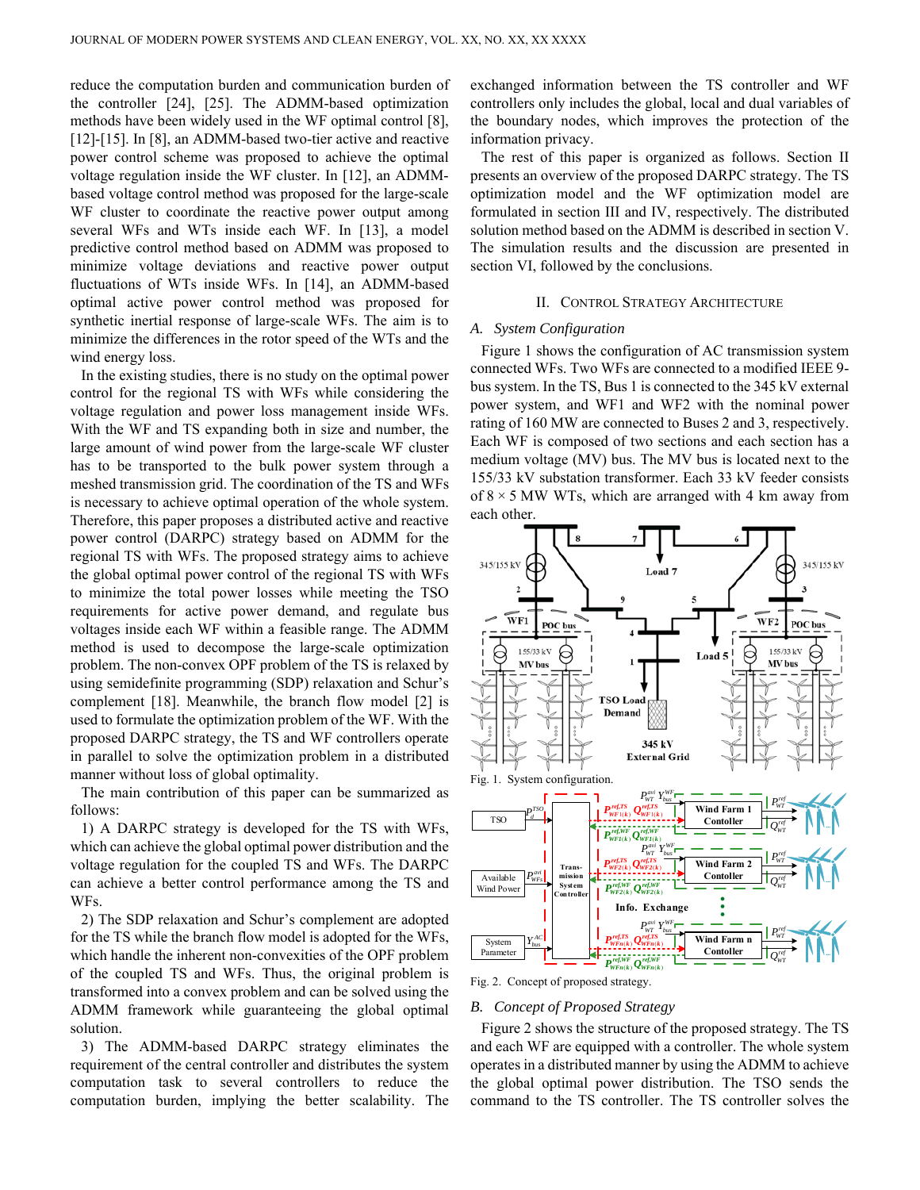reduce the computation burden and communication burden of the controller [24], [25]. The ADMM-based optimization methods have been widely used in the WF optimal control [8], [12]-[15]. In [8], an ADMM-based two-tier active and reactive power control scheme was proposed to achieve the optimal voltage regulation inside the WF cluster. In [12], an ADMMbased voltage control method was proposed for the large-scale WF cluster to coordinate the reactive power output among several WFs and WTs inside each WF. In [13], a model predictive control method based on ADMM was proposed to minimize voltage deviations and reactive power output fluctuations of WTs inside WFs. In [14], an ADMM-based optimal active power control method was proposed for synthetic inertial response of large-scale WFs. The aim is to minimize the differences in the rotor speed of the WTs and the wind energy loss.

In the existing studies, there is no study on the optimal power control for the regional TS with WFs while considering the voltage regulation and power loss management inside WFs. With the WF and TS expanding both in size and number, the large amount of wind power from the large-scale WF cluster has to be transported to the bulk power system through a meshed transmission grid. The coordination of the TS and WFs is necessary to achieve optimal operation of the whole system. Therefore, this paper proposes a distributed active and reactive power control (DARPC) strategy based on ADMM for the regional TS with WFs. The proposed strategy aims to achieve the global optimal power control of the regional TS with WFs to minimize the total power losses while meeting the TSO requirements for active power demand, and regulate bus voltages inside each WF within a feasible range. The ADMM method is used to decompose the large-scale optimization problem. The non-convex OPF problem of the TS is relaxed by using semidefinite programming (SDP) relaxation and Schur's complement [18]. Meanwhile, the branch flow model [2] is used to formulate the optimization problem of the WF. With the proposed DARPC strategy, the TS and WF controllers operate in parallel to solve the optimization problem in a distributed manner without loss of global optimality.

The main contribution of this paper can be summarized as follows:

1) A DARPC strategy is developed for the TS with WFs, which can achieve the global optimal power distribution and the voltage regulation for the coupled TS and WFs. The DARPC can achieve a better control performance among the TS and WFs.

2) The SDP relaxation and Schur's complement are adopted for the TS while the branch flow model is adopted for the WFs, which handle the inherent non-convexities of the OPF problem of the coupled TS and WFs. Thus, the original problem is transformed into a convex problem and can be solved using the ADMM framework while guaranteeing the global optimal solution.

3) The ADMM-based DARPC strategy eliminates the requirement of the central controller and distributes the system computation task to several controllers to reduce the computation burden, implying the better scalability. The exchanged information between the TS controller and WF controllers only includes the global, local and dual variables of the boundary nodes, which improves the protection of the information privacy.

The rest of this paper is organized as follows. Section II presents an overview of the proposed DARPC strategy. The TS optimization model and the WF optimization model are formulated in section III and IV, respectively. The distributed solution method based on the ADMM is described in section V. The simulation results and the discussion are presented in section VI, followed by the conclusions.

## II. CONTROL STRATEGY ARCHITECTURE

## *A. System Configuration*

Figure 1 shows the configuration of AC transmission system connected WFs. Two WFs are connected to a modified IEEE 9 bus system. In the TS, Bus 1 is connected to the 345 kV external power system, and WF1 and WF2 with the nominal power rating of 160 MW are connected to Buses 2 and 3, respectively. Each WF is composed of two sections and each section has a medium voltage (MV) bus. The MV bus is located next to the 155/33 kV substation transformer. Each 33 kV feeder consists of  $8 \times 5$  MW WTs, which are arranged with 4 km away from each other.



Fig. 2. Concept of proposed strategy.

## *B. Concept of Proposed Strategy*

Figure 2 shows the structure of the proposed strategy. The TS and each WF are equipped with a controller. The whole system operates in a distributed manner by using the ADMM to achieve the global optimal power distribution. The TSO sends the command to the TS controller. The TS controller solves the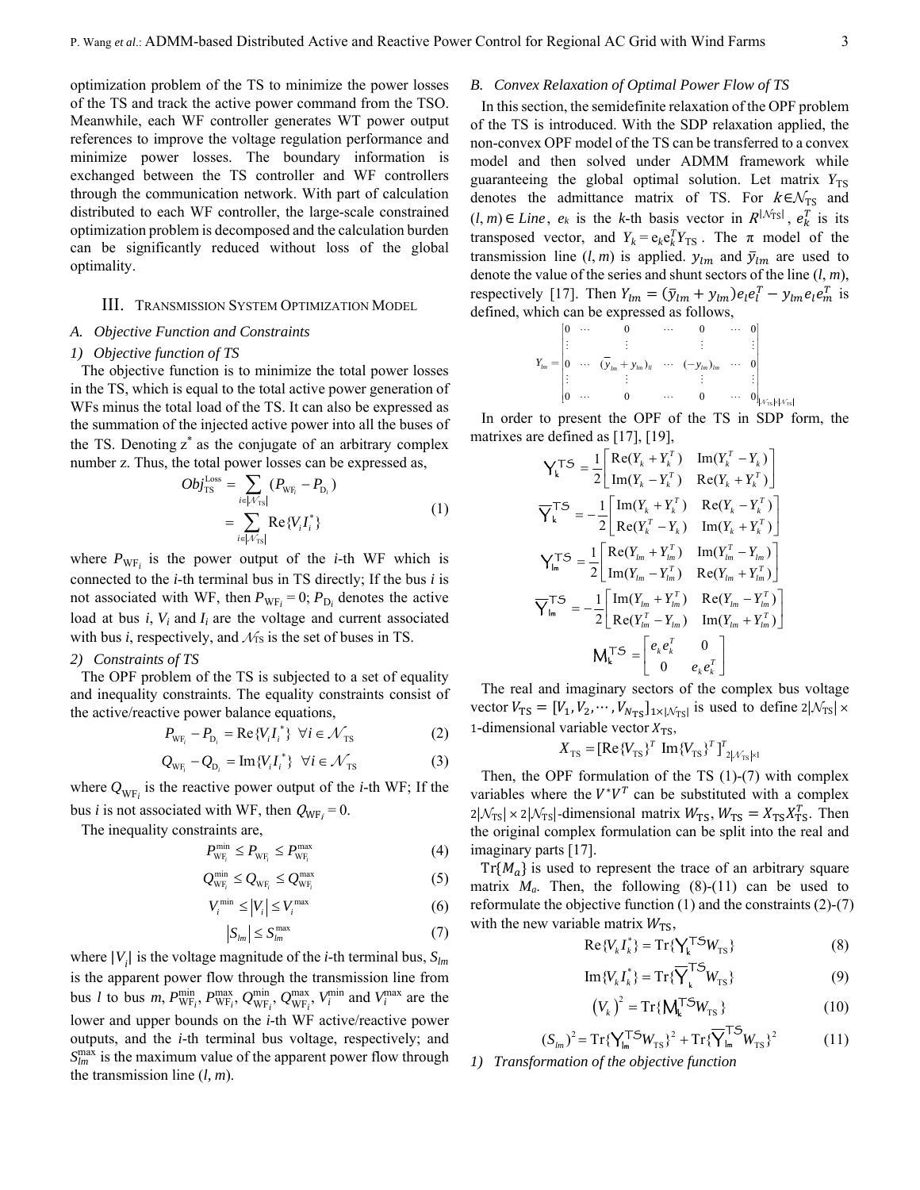optimization problem of the TS to minimize the power losses of the TS and track the active power command from the TSO. Meanwhile, each WF controller generates WT power output references to improve the voltage regulation performance and minimize power losses. The boundary information is exchanged between the TS controller and WF controllers through the communication network. With part of calculation distributed to each WF controller, the large-scale constrained optimization problem is decomposed and the calculation burden can be significantly reduced without loss of the global optimality.

#### III. TRANSMISSION SYSTEM OPTIMIZATION MODEL

#### *A. Objective Function and Constraints*

#### *1) Objective function of TS*

The objective function is to minimize the total power losses in the TS, which is equal to the total active power generation of WFs minus the total load of the TS. It can also be expressed as the summation of the injected active power into all the buses of the TS. Denoting  $z^*$  as the conjugate of an arbitrary complex number z. Thus, the total power losses can be expressed as,

$$
Obj_{\text{TS}}^{\text{Loss}} = \sum_{i \in |\mathcal{N}_{\text{TS}}|} (P_{\text{WF}_i} - P_{\text{D}_i})
$$
  
= 
$$
\sum_{i \in |\mathcal{N}_{\text{TS}}|} \text{Re}\{V_i I_i^*\}
$$
 (1)

where  $P_{WF_i}$  is the power output of the *i*-th WF which is connected to the *i*-th terminal bus in TS directly; If the bus *i* is not associated with WF, then  $P_{WF_i} = 0$ ;  $P_{D_i}$  denotes the active load at bus  $i$ ,  $V_i$  and  $I_i$  are the voltage and current associated with bus  $i$ , respectively, and  $\mathcal{N}_s$  is the set of buses in TS.

## *2) Constraints of TS*

The OPF problem of the TS is subjected to a set of equality and inequality constraints. The equality constraints consist of the active/reactive power balance equations, \*

$$
P_{\text{WF}_i} - P_{\text{D}_i} = \text{Re}\{V_i I_i^*\} \quad \forall i \in \mathcal{N}_{\text{TS}} \tag{2}
$$

$$
Q_{\text{WF}_i} - Q_{\text{D}_i} = \text{Im}\{V_i I_i^*\} \quad \forall i \in \mathcal{N}_{\text{TS}} \tag{3}
$$

where  $Q_{WF_i}$  is the reactive power output of the *i*-th WF; If the bus *i* is not associated with WF, then  $Q_{WF_i} = 0$ .

The inequality constraints are,

$$
P_{\text{WF}_i}^{\min} \le P_{\text{WF}_i} \le P_{\text{WF}_i}^{\max} \tag{4}
$$

$$
Q_{\text{WF}_i}^{\min} \leq Q_{\text{WF}_i} \leq Q_{\text{WF}_i}^{\max} \tag{5}
$$

$$
V_i^{\min} \le |V_i| \le V_i^{\max} \tag{6}
$$

$$
|S_{lm}| \le S_{lm}^{\max} \tag{7}
$$

where  $|V_i|$  is the voltage magnitude of the *i*-th terminal bus,  $S_{lm}$ is the apparent power flow through the transmission line from bus *l* to bus *m*,  $P_{WF_i}^{\min}$ ,  $P_{WF_i}^{\max}$ ,  $Q_{WF_i}^{\min}$ ,  $Q_{WF_i}^{\min}$ ,  $V_i^{\min}$  and  $V_i^{\max}$  are the lower and upper bounds on the *i*-th WF active/reactive power outputs, and the *i*-th terminal bus voltage, respectively; and  $S_{lm}^{\text{max}}$  is the maximum value of the apparent power flow through the transmission line (*l, m*).

#### *B. Convex Relaxation of Optimal Power Flow of TS*

In this section, the semidefinite relaxation of the OPF problem of the TS is introduced. With the SDP relaxation applied, the non-convex OPF model of the TS can be transferred to a convex model and then solved under ADMM framework while guaranteeing the global optimal solution. Let matrix  $Y_{TS}$ denotes the admittance matrix of TS. For  $k \in \mathcal{N}_{TS}$  and  $(l, m) \in Line$ ,  $e_k$  is the *k*-th basis vector in  $R^{|N_{\text{TS}}|}$ ,  $e_k^T$  is its transposed vector, and  $Y_k = e_k e_k^T Y_{TS}$ . The  $\pi$  model of the transmission line  $(l, m)$  is applied.  $y_{lm}$  and  $\bar{y}_{lm}$  are used to denote the value of the series and shunt sectors of the line (*l*, *m*), respectively [17]. Then  $Y_{lm} = (\bar{y}_{lm} + y_{lm})e_l e_l^T - y_{lm} e_l e_m^T$  is defined, which can be expressed as follows,

$$
Y_{lm} = \begin{bmatrix} 0 & \cdots & 0 & \cdots & 0 & \cdots & 0 \\ \vdots & & \vdots & & \vdots & & \vdots \\ 0 & \cdots & (\overline{y}_{lm} + y_{lm})_{ll} & \cdots & (-y_{lm})_{lm} & \cdots & 0 \\ \vdots & & \vdots & & \vdots & & \vdots \\ 0 & \cdots & 0 & \cdots & 0 & \cdots & 0 \end{bmatrix}_{\lfloor \lambda \tau_{\rm S} \rfloor \in \left\{ \lambda'_{\rm TS} \right\}}
$$

In order to present the OPF of the TS in SDP form, the matrixes are defined as [17], [19],

$$
Y_k^{\mathsf{T} \mathsf{S}} = \frac{1}{2} \begin{bmatrix} \text{Re}(Y_k + Y_k^T) & \text{Im}(Y_k^T - Y_k) \\ \text{Im}(Y_k - Y_k^T) & \text{Re}(Y_k + Y_k^T) \end{bmatrix}
$$
  
\n
$$
\overline{Y}_k^{\mathsf{T} \mathsf{S}} = -\frac{1}{2} \begin{bmatrix} \text{Im}(Y_k + Y_k^T) & \text{Re}(Y_k - Y_k^T) \\ \text{Re}(Y_k^T - Y_k) & \text{Im}(Y_k + Y_k^T) \end{bmatrix}
$$
  
\n
$$
Y_{lm}^{\mathsf{T} \mathsf{S}} = \frac{1}{2} \begin{bmatrix} \text{Re}(Y_{lm} + Y_{lm}^T) & \text{Im}(Y_{lm}^T - Y_{lm}) \\ \text{Im}(Y_{lm} - Y_{lm}^T) & \text{Re}(Y_{lm} + Y_{lm}^T) \end{bmatrix}
$$
  
\n
$$
\overline{Y}_{lm}^{\mathsf{T} \mathsf{S}} = -\frac{1}{2} \begin{bmatrix} \text{Im}(Y_{lm} + Y_{lm}^T) & \text{Re}(Y_{lm} - Y_{lm}^T) \\ \text{Re}(Y_{lm}^T - Y_{lm}) & \text{Im}(Y_{lm} + Y_{lm}^T) \end{bmatrix}
$$
  
\n
$$
M_k^{\mathsf{T} \mathsf{S}} = \begin{bmatrix} e_k e_k^T & 0 \\ 0 & e_k e_k^T \end{bmatrix}
$$

The real and imaginary sectors of the complex bus voltage vector  $V_{TS} = [V_1, V_2, \cdots, V_{N_{TS}}]_{1 \times |N_{TS}|}$  is used to define  $2|N_{TS}| \times$ 1-dimensional variable vector  $X_{TS}$ ,

$$
X_{\text{TS}} = [\text{Re}\{V_{\text{TS}}\}^T \text{ Im}\{V_{\text{TS}}\}^T]^T_{2|\mathcal{N}_{\text{TS}}| \times 1}
$$

Then, the OPF formulation of the TS (1)-(7) with complex variables where the  $V^*V^T$  can be substituted with a complex  $2|\mathcal{N}_{TS}| \times 2|\mathcal{N}_{TS}|$ -dimensional matrix  $W_{TS}$ ,  $W_{TS} = X_{TS}X_{TS}^T$ . Then the original complex formulation can be split into the real and imaginary parts [17].

 $Tr{M<sub>a</sub>}$  is used to represent the trace of an arbitrary square matrix  $M_a$ . Then, the following  $(8)-(11)$  can be used to reformulate the objective function  $(1)$  and the constraints  $(2)-(7)$ with the new variable matrix  $W_{\text{TS}}$ ,

$$
\operatorname{Re}\{V_k I_k^*\} = \operatorname{Tr}\{\mathbf{Y_k}^{\mathsf{T} \mathsf{S}} W_{\text{TS}}\}\tag{8}
$$

$$
\operatorname{Im}\{V_k I_k^*\} = \operatorname{Tr}\{\overline{Y}_k^{\text{T}} \mathcal{W}_{\text{TS}}\}\tag{9}
$$

$$
\left(V_k\right)^2 = \text{Tr}\{\mathbf{M}_k^{\mathsf{T}}\mathbf{S}W_{\text{TS}}\}\tag{10}
$$

$$
(S_{lm})^2 = \text{Tr}\{\mathbf{Y}_{lm}^{\mathsf{T}}\mathbf{S}W_{\text{TS}}\}^2 + \text{Tr}\{\overline{\mathbf{Y}}_{lm}^{\mathsf{T}}\mathbf{S}W_{\text{TS}}\}^2 \tag{11}
$$

*1) Transformation of the objective function*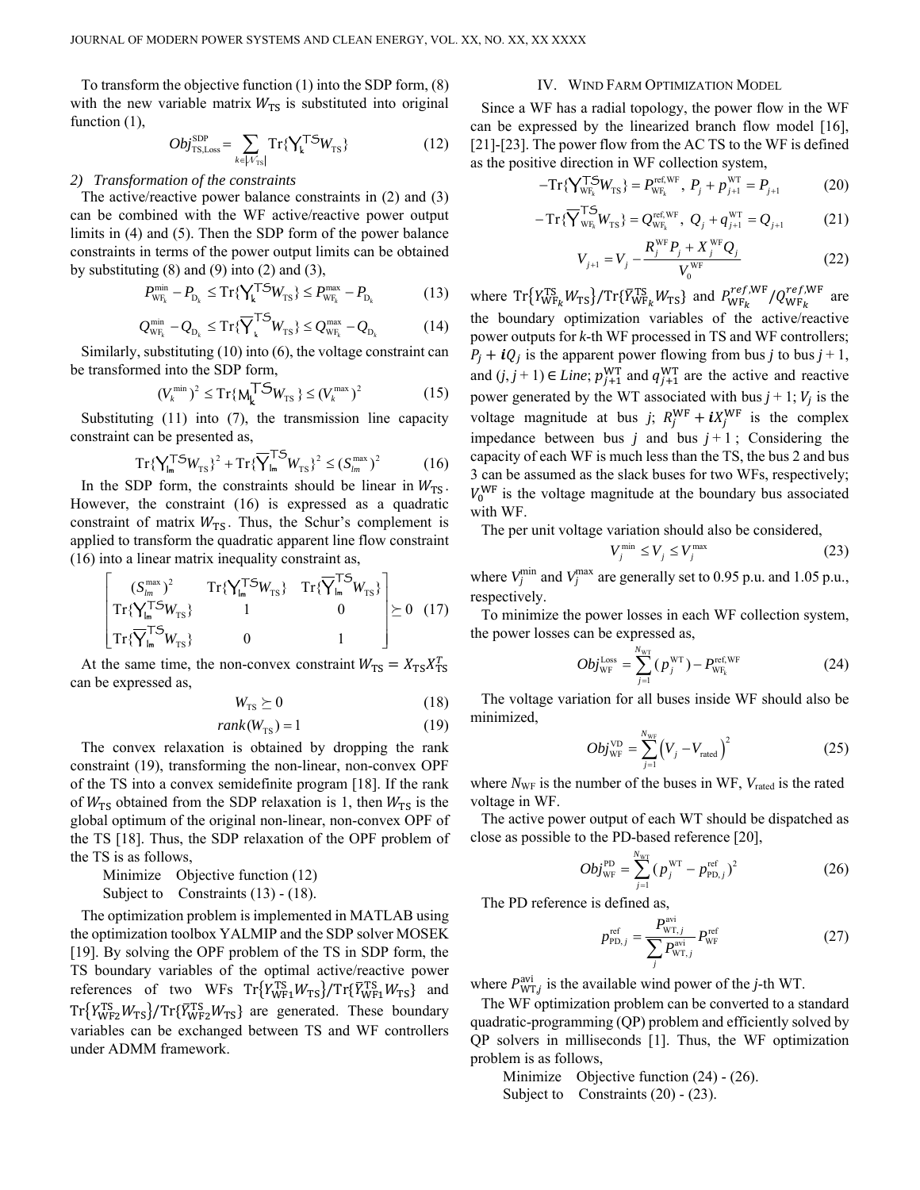To transform the objective function (1) into the SDP form, (8) with the new variable matrix  $W_{\text{TS}}$  is substituted into original function  $(1)$ ,

$$
Obj_{\text{TS,Loss}}^{\text{SDP}} = \sum_{k \in |\mathcal{N}_{\text{TS}}|} \text{Tr}\{\mathbf{Y_k}^{\text{T5}}W_{\text{TS}}\}
$$
(12)

### *2) Transformation of the constraints*

The active/reactive power balance constraints in (2) and (3) can be combined with the WF active/reactive power output limits in (4) and (5). Then the SDP form of the power balance constraints in terms of the power output limits can be obtained by substituting  $(8)$  and  $(9)$  into  $(2)$  and  $(3)$ ,

$$
P_{\text{WF}_k}^{\text{min}} - P_{\text{D}_k} \le \text{Tr}\{\mathbf{Y}_k^{\mathsf{T}} \mathbf{S} W_{\text{TS}}\} \le P_{\text{WF}_k}^{\text{max}} - P_{\text{D}_k} \tag{13}
$$

$$
Q_{\rm WF_{k}}^{\rm min} - Q_{\rm D_{k}} \leq \operatorname{Tr}\{\overline{\mathbf{Y}}_{\mathbf{k}}^{\mathsf{T}} \mathbf{S}_{W_{\rm TS}}\} \leq Q_{\rm WF_{k}}^{\rm max} - Q_{\rm D_{k}} \tag{14}
$$

Similarly, substituting (10) into (6), the voltage constraint can be transformed into the SDP form,

$$
(V_k^{\min})^2 \le \mathrm{Tr}\{\mathbf{M_k^{\mathsf{T}}} \mathbf{S} W_{\mathrm{TS}}\} \le (V_k^{\max})^2 \tag{15}
$$

Substituting (11) into (7), the transmission line capacity constraint can be presented as,

$$
\mathrm{Tr}\{\mathbf{Y}_{\mathsf{Im}}^{\mathsf{T}\mathbf{S}}\mathbf{W}_{\mathsf{TS}}\}^{2} + \mathrm{Tr}\{\overline{\mathbf{Y}}_{\mathsf{Im}}^{\mathsf{T}\mathbf{S}}\mathbf{W}_{\mathsf{TS}}\}^{2} \leq (\mathbf{S}_{\mathsf{Im}}^{\max})^{2}
$$
(16)

In the SDP form, the constraints should be linear in  $W_{TS}$ . However, the constraint (16) is expressed as a quadratic constraint of matrix  $W_{\text{TS}}$ . Thus, the Schur's complement is applied to transform the quadratic apparent line flow constraint (16) into a linear matrix inequality constraint as,

$$
\begin{bmatrix}\n(S_{lm}^{\max})^2 & \operatorname{Tr}\{\mathbf{Y}_{lm}^{\mathsf{T}}\mathbf{S}_{W_{\text{TS}}}\} & \operatorname{Tr}\{\overline{\mathbf{Y}}_{lm}^{\mathsf{T}}\mathbf{S}_{W_{\text{TS}}}\} \\
\operatorname{Tr}\{\mathbf{Y}_{lm}^{\mathsf{T}}\mathbf{S}_{W_{\text{TS}}}\} & 1 & 0 \\
\operatorname{Tr}\{\overline{\mathbf{Y}}_{lm}^{\mathsf{T}}\mathbf{S}_{W_{\text{TS}}}\} & 0 & 1\n\end{bmatrix} \succeq 0 \quad (17)
$$

At the same time, the non-convex constraint  $W_{\text{TS}} = X_{\text{TS}} X_{\text{TS}}^T$ can be expressed as,

$$
W_{\rm TS} \succeq 0 \tag{18}
$$

$$
rank(W_{TS}) = 1 \tag{19}
$$

The convex relaxation is obtained by dropping the rank constraint (19), transforming the non-linear, non-convex OPF of the TS into a convex semidefinite program [18]. If the rank of  $W_{\text{TS}}$  obtained from the SDP relaxation is 1, then  $W_{\text{TS}}$  is the global optimum of the original non-linear, non-convex OPF of the TS [18]. Thus, the SDP relaxation of the OPF problem of the TS is as follows,

Minimize Objective function (12) Subject to Constraints (13) - (18).

The optimization problem is implemented in MATLAB using the optimization toolbox YALMIP and the SDP solver MOSEK [19]. By solving the OPF problem of the TS in SDP form, the TS boundary variables of the optimal active/reactive power references of two WFs  $\text{Tr}\left\{Y_{\text{WF1}}^{\text{TS}}W_{\text{TS}}\right\}/\text{Tr}\{\overline{Y}_{\text{WF1}}^{\text{TS}}W_{\text{TS}}\}$  and  $Tr{Y_{WF2}^{TS}W_{TS}}/Tr{ \bar{Y}_{WF2}^{TS}W_{TS}}$  are generated. These boundary variables can be exchanged between TS and WF controllers under ADMM framework.

### IV. WIND FARM OPTIMIZATION MODEL

Since a WF has a radial topology, the power flow in the WF can be expressed by the linearized branch flow model [16], [21]-[23]. The power flow from the AC TS to the WF is defined as the positive direction in WF collection system,

$$
-Tr\{\mathbf{Y}_{\mathrm{WF}_{k}}^{\mathbf{T5}}W_{\mathrm{TS}}\} = P_{\mathrm{WF}_{k}}^{\mathrm{ref, WF}}, \ P_{j} + p_{j+1}^{\mathrm{WT}} = P_{j+1}
$$
 (20)

$$
-Tr\{\overline{Y}_{WF_k}^{1.5}W_{TS}\} = Q_{WF_k}^{ref, WF} , Q_j + q_{j+1}^{WT} = Q_{j+1}
$$
 (21)

$$
V_{j+1} = V_j - \frac{R_j^{\text{WF}} P_j + X_j^{\text{WF}} Q_j}{V_0^{\text{WF}}}
$$
(22)

where  $Tr\{Y_{WF_k}^{TS}W_{TS}\}/Tr\{\bar{Y}_{WF_k}^{TS}W_{TS}\}\$  and  $P_{WF_k}^{ref,WF}/Q_{WF_k}^{ref,WF}$  are the boundary optimization variables of the active/reactive power outputs for *k*-th WF processed in TS and WF controllers;  $P_i + iQ_i$  is the apparent power flowing from bus *j* to bus *j* + 1, and  $(j, j + 1) \in Line$ ;  $p_{j+1}^{WT}$  and  $q_{j+1}^{WT}$  are the active and reactive power generated by the WT associated with bus  $j + 1$ ;  $V_j$  is the voltage magnitude at bus *j*;  $R_j^{\text{WF}} + iX_j^{\text{WF}}$  is the complex impedance between bus *j* and bus  $j + 1$ ; Considering the capacity of each WF is much less than the TS, the bus 2 and bus 3 can be assumed as the slack buses for two WFs, respectively;  $V_0^{\text{WF}}$  is the voltage magnitude at the boundary bus associated with WF.

The per unit voltage variation should also be considered,

$$
V_j^{\min} \le V_j \le V_j^{\max} \tag{23}
$$

where  $V_j^{\text{min}}$  and  $V_j^{\text{max}}$  are generally set to 0.95 p.u. and 1.05 p.u., respectively.

To minimize the power losses in each WF collection system, the power losses can be expressed as,

$$
Obj_{\text{WF}}^{\text{Loss}} = \sum_{j=1}^{N_{\text{WT}}} (p_j^{\text{WT}}) - P_{\text{WF}_k}^{\text{ref, WF}} \tag{24}
$$

The voltage variation for all buses inside WF should also be minimized,

$$
Obj_{\text{WF}}^{\text{VD}} = \sum_{j=1}^{N_{\text{WF}}} \left( V_j - V_{\text{rated}} \right)^2 \tag{25}
$$

where  $N_{\text{WF}}$  is the number of the buses in WF,  $V_{\text{rated}}$  is the rated voltage in WF.

The active power output of each WT should be dispatched as close as possible to the PD-based reference [20],

$$
Obj_{\rm WF}^{\rm PD} = \sum_{j=1}^{N_{\rm WT}} (p_j^{\rm WT} - p_{\rm PD,j}^{\rm ref})^2
$$
 (26)

The PD reference is defined as,

$$
p_{\text{PD},j}^{\text{ref}} = \frac{P_{\text{WT},j}^{\text{avi}}}{\sum_{j} P_{\text{WT},j}^{\text{avi}}} P_{\text{WF}}^{\text{ref}}
$$
(27)

where  $P_{WT,j}^{avi}$  is the available wind power of the *j*-th WT.

The WF optimization problem can be converted to a standard quadratic-programming (QP) problem and efficiently solved by QP solvers in milliseconds [1]. Thus, the WF optimization problem is as follows,

Minimize Objective function (24) - (26). Subject to Constraints (20) - (23).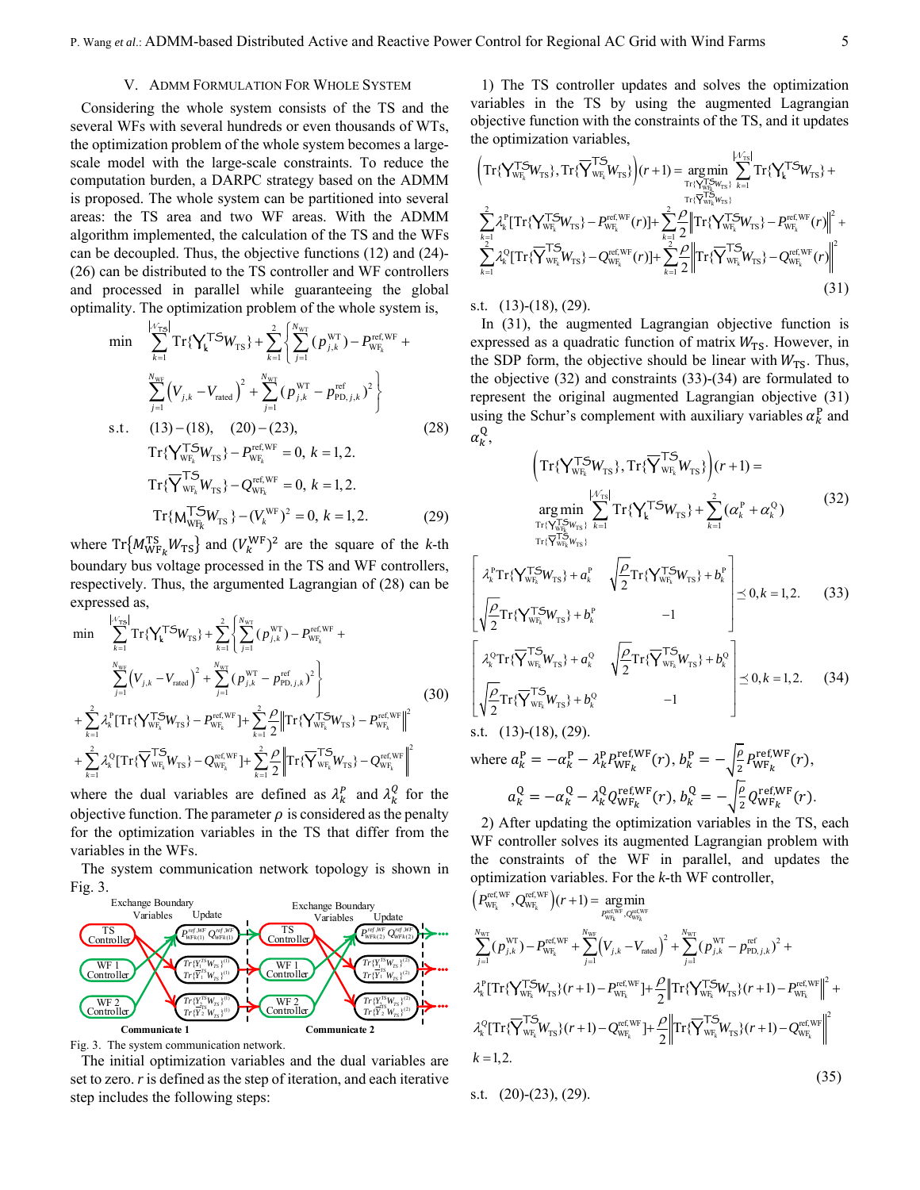#### V. ADMM FORMULATION FOR WHOLE SYSTEM

Considering the whole system consists of the TS and the several WFs with several hundreds or even thousands of WTs, the optimization problem of the whole system becomes a largescale model with the large-scale constraints. To reduce the computation burden, a DARPC strategy based on the ADMM is proposed. The whole system can be partitioned into several areas: the TS area and two WF areas. With the ADMM algorithm implemented, the calculation of the TS and the WFs can be decoupled. Thus, the objective functions (12) and (24)- (26) can be distributed to the TS controller and WF controllers and processed in parallel while guaranteeing the global optimality. The optimization problem of the whole system is,

$$
\min \sum_{k=1}^{\lfloor \sqrt{r} \cdot s \rfloor} \mathrm{Tr}\{\mathbf{Y}_{k}^{\mathsf{T}}\mathbf{S}W_{\mathrm{TS}}\} + \sum_{k=1}^{2} \left\{\sum_{j=1}^{N_{\mathrm{WT}}} (p_{j,k}^{\mathrm{WT}}) - P_{\mathrm{WF}_{k}}^{\mathrm{ref, WF}} + \sum_{j=1}^{N_{\mathrm{WF}}} (V_{j,k} - V_{\mathrm{rated}})^{2} + \sum_{j=1}^{N_{\mathrm{WT}}} (p_{j,k}^{\mathrm{WT}} - p_{\mathrm{PD},j,k}^{\mathrm{ref}})^{2}\right\}
$$
\n  
\ns.t. (13)–(18), (20)–(23), (28)  
\n
$$
\mathrm{Tr}\{\mathbf{Y}_{\mathrm{WF}_{k}}^{\mathsf{T}}W_{\mathrm{TS}}\} - P_{\mathrm{WF}_{k}}^{\mathrm{ref, WF}} = 0, k = 1, 2.
$$
\n
$$
\mathrm{Tr}\{\overline{\mathbf{Y}}_{\mathrm{WF}_{k}}^{\mathsf{T}}W_{\mathrm{TS}}\} - Q_{\mathrm{WF}_{k}}^{\mathrm{ref, WF}} = 0, k = 1, 2.
$$
\n
$$
\mathrm{Tr}\{\mathbf{M}_{\mathrm{WF}_{k}}^{\mathsf{T}}W_{\mathrm{TS}}\} - (V_{k}^{\mathrm{WF}})^{2} = 0, k = 1, 2.
$$
\n(29)

where  $Tr{M_{WF_k}^{TS}W_{TS}}$  and  $(V_k^{WF})^2$  are the square of the *k*-th boundary bus voltage processed in the TS and WF controllers, respectively. Thus, the argumented Lagrangian of (28) can be expressed as,

$$
\begin{split}\n\min \quad & \sum_{k=1}^{|\mathcal{N}_{\text{TS}}|} \text{Tr}\{\mathbf{Y}_{\mathbf{k}}^{\text{T}}\mathbf{S}W_{\text{TS}}\} + \sum_{k=1}^{2} \left\{ \sum_{j=1}^{N_{\text{WT}}} (p_{j,k}^{\text{WT}}) - P_{\text{WF}_{k}}^{\text{ref, WF}} + \sum_{j=1}^{N_{\text{WT}}} (V_{j,k} - V_{\text{rated}})^{2} + \sum_{j=1}^{N_{\text{WT}}} (p_{j,k}^{\text{WT}} - p_{\text{PD},j,k}^{\text{ref}})^{2} \right\} \\
& + \sum_{k=1}^{2} \lambda_{k}^{P} [\text{Tr}\{\mathbf{Y}_{\text{WF}_{k}}^{\text{T}}\mathbf{S}W_{\text{TS}}\} - P_{\text{WF}_{k}}^{\text{ref, WF}}] + \sum_{k=1}^{2} \frac{\rho}{2} \left\| \text{Tr}\{\mathbf{Y}_{\text{WF}_{k}}^{\text{T}}\mathbf{S}W_{\text{TS}}\} - P_{\text{WF}_{k}}^{\text{ref, WF}} \right\|^{2} \\
& + \sum_{k=1}^{2} \lambda_{k}^{Q} [\text{Tr}\{\overline{\mathbf{Y}}_{\text{WF}_{k}}^{\text{T}}\mathbf{W}_{\text{TS}}\} - Q_{\text{WF}_{k}}^{\text{ref, WF}}] + \sum_{k=1}^{2} \frac{\rho}{2} \left\| \text{Tr}\{\overline{\mathbf{Y}}_{\text{WF}_{k}}^{\text{T}}\mathbf{W}_{\text{TS}}\} - Q_{\text{WF}_{k}}^{\text{ref, WF}} \right\|^{2}\n\end{split} \tag{30}
$$

where the dual variables are defined as  $\lambda_k^P$  and  $\lambda_k^Q$  for the objective function. The parameter  $\rho$  is considered as the penalty for the optimization variables in the TS that differ from the variables in the WFs.

The system communication network topology is shown in Fig. 3.



Fig. 3. The system communication network.

The initial optimization variables and the dual variables are set to zero. *r* is defined as the step of iteration, and each iterative step includes the following steps:

1) The TS controller updates and solves the optimization variables in the TS by using the augmented Lagrangian objective function with the constraints of the TS, and it updates the optimization variables,

$$
\left(\operatorname{Tr}\{\sum_{w_{F_k}}^{T} W_{TS}\}, \operatorname{Tr}\{\overline{Y}_{w_{F_k}}^{T} W_{TS}\}\right)(r+1) = \underset{\operatorname{Tr}\{\sum_{r}^{T} \sum_{w_{F_k}}^{T} W_{TS}\}}{\operatorname{Tr}\{\sum_{r}^{T} \sum_{w_{F_k}}^{T} Y_{TS}\}} \operatorname{Tr}\{\sum_{r}^{T} \sum_{w_{F_k}}^{T} W_{TS}\} + \sum_{r=1}^{2} \lambda_{r}^{p} \left[\operatorname{Tr}\{\sum_{w_{F_k}}^{T} W_{TS}\} - P_{w_{F_k}}^{\text{ref.WF}}(r)\right] + \sum_{k=1}^{2} \frac{2}{2} \left\| \operatorname{Tr}\{\sum_{w_{F_k}}^{T} W_{TS}\} - P_{w_{F_k}}^{\text{ref.WF}}(r) \right\|^{2} + \sum_{k=1}^{2} \lambda_{k}^{0} \left[\operatorname{Tr}\{\sum_{w_{F_k}}^{T} W_{TS}\} - Q_{w_{F_k}}^{\text{ref.WF}}(r)\right] + \sum_{k=1}^{2} \frac{2}{2} \left\| \operatorname{Tr}\{\overline{Y}_{w_{F_k}}^{T} W_{TS}\} - Q_{w_{F_k}}^{\text{ref.WF}}(r) \right\|^{2}
$$
\n(31)

s.t.(13)-(18), (29).

In (31), the augmented Lagrangian objective function is expressed as a quadratic function of matrix  $W_{TS}$ . However, in the SDP form, the objective should be linear with  $W_{TS}$ . Thus, the objective (32) and constraints (33)-(34) are formulated to represent the original augmented Lagrangian objective (31) using the Schur's complement with auxiliary variables  $\alpha_k^P$  and  $\alpha_k^{\text{Q}},$ 

$$
\left(\operatorname{Tr}\{\mathbf{Y}_{\mathrm{WF}_{k}}^{\mathsf{T}}\mathbf{W}_{\mathrm{TS}}\},\operatorname{Tr}\{\overline{\mathbf{Y}}_{\mathrm{WF}_{k}}^{\mathsf{T}}\mathbf{W}_{\mathrm{TS}}\}\right)(r+1) = \operatorname*{arg\,min}_{\begin{subarray}{c}\n\operatorname{Tr}\{\mathbf{Y}_{\mathrm{WF}}^{\mathsf{T}}|\} \\
\operatorname{Tr}\{\mathbf{Y}_{\mathrm{WF}}^{\mathsf{T}}\mathbf{W}_{\mathrm{TS}}\},\n\end{subarray}} \sum_{k=1}^{|\mathcal{N}_{\mathrm{TS}}|} \operatorname{Tr}\{\mathbf{Y}_{k}^{\mathsf{T}}\mathbf{S}\mathbf{W}_{\mathrm{TS}}\} + \sum_{k=1}^{2} (\alpha_{k}^{P} + \alpha_{k}^{Q})
$$
\n(32)

$$
\begin{bmatrix}\n\lambda_k^{\text{P}} \text{Tr}\{\mathbf{Y}_{\text{WF}_k}^{\text{T}} \mathbf{W}_{\text{TS}}\} + a_k^{\text{P}} & \sqrt{\frac{\rho}{2}} \text{Tr}\{\mathbf{Y}_{\text{WF}_k}^{\text{T}} \mathbf{W}_{\text{TS}}\} + b_k^{\text{P}} \\
\sqrt{\frac{\rho}{2}} \text{Tr}\{\mathbf{Y}_{\text{WF}_k}^{\text{T}} \mathbf{W}_{\text{TS}}\} + b_k^{\text{P}} & -1\n\end{bmatrix} \preceq 0, k = 1, 2.
$$
\n(33)\n
$$
\begin{bmatrix}\n\lambda_k^{\text{Q}} \text{Tr}\{\overline{\mathbf{Y}}_{\text{WF}_k}^{\text{T}} \mathbf{W}_{\text{TS}}\} + a_k^{\text{Q}} & \sqrt{\frac{\rho}{2}} \text{Tr}\{\overline{\mathbf{Y}}_{\text{WF}_k}^{\text{T}} \mathbf{W}_{\text{TS}}\} + b_k^{\text{Q}} \\
\sqrt{\frac{\rho}{2}} \text{Tr}\{\overline{\mathbf{Y}}_{\text{WF}_k}^{\text{T}} \mathbf{W}_{\text{TS}}\} + b_k^{\text{Q}} & -1\n\end{bmatrix} \preceq 0, k = 1, 2.
$$
\n(34)

s.t.(13)-(18), (29). where  $a_k^P = -\alpha_k^P - \lambda_k^P P_{WF_k}^{\text{ref,WF}}(r)$ ,  $b_k^P = -\sqrt{\frac{\rho}{2}} P_{WF_k}^{\text{ref,WF}}(r)$ ,  $a_k^{\rm Q} = -\alpha_k^{\rm Q} - \lambda_k^{\rm Q} Q_{\rm WF_k}^{\rm ref,WF}(r),$   $b_k^{\rm Q} = -\sqrt{\frac{\rho}{2}} Q_{\rm WF_k}^{\rm ref,WF}(r).$ 

2) After updating the optimization variables in the TS, each WF controller solves its augmented Lagrangian problem with the constraints of the WF in parallel, and updates the optimization variables. For the *k*-th WF controller,

$$
\left(P_{\text{WF}_{k}}^{\text{ref,WF}}, Q_{\text{WF}_{k}}^{\text{ref,WF}}\right)(r+1) = \underset{P_{\text{WF}_{k}}^{\text{ref,WF}}}{{\arg\min}}
$$
\n
$$
\sum_{j=1}^{N_{\text{WF}}} (p_{j,k}^{\text{WT}}) - P_{\text{WF}_{k}}^{\text{ref,WF}} + \sum_{j=1}^{N_{\text{WF}}} \left(V_{j,k} - V_{\text{rated}}\right)^{2} + \sum_{j=1}^{N_{\text{WT}}} (p_{j,k}^{\text{WT}} - p_{\text{PD},j,k}^{\text{ref}})^{2} + \lambda_{k}^{P}[\text{Tr}\{\mathbf{Y}_{\text{WF}_{k}}^{\text{TS}}\mathbf{W}_{\text{TS}}\}(r+1) - P_{\text{WF}_{k}}^{\text{ref, WF}}] + \frac{\rho}{2} \left\| \text{Tr}\{\mathbf{Y}_{\text{WF}_{k}}^{\text{TS}}\mathbf{W}_{\text{TS}}\}(r+1) - P_{\text{WF}_{k}}^{\text{ref, WF}} \right\|^{2} + \lambda_{k}^{Q}[\text{Tr}\{\overline{\mathbf{Y}}_{\text{WF}_{k}}^{\text{TS}}\mathbf{W}_{\text{TS}}\}(r+1) - Q_{\text{WF}_{k}}^{\text{ref,WF}}] + \frac{\rho}{2} \left\| \text{Tr}\{\overline{\mathbf{Y}}_{\text{WF}_{k}}^{\text{TS}}\mathbf{W}_{\text{TS}}\}(r+1) - Q_{\text{WF}_{k}}^{\text{ref,WF}} \right\|^{2} + \lambda_{k}^{Q}[\text{Tr}\{\overline{\mathbf{Y}}_{\text{WF}_{k}}^{\text{TS}}\mathbf{W}_{\text{TS}}\}(r+1) - Q_{\text{WF}_{k}}^{\text{ref,WF}}] + \frac{\rho}{2} \left\| \text{Tr}\{\overline{\mathbf{Y}}_{\text{WF}_{k}}^{\text{TS}}\mathbf{W}_{\text{TS}}\}(r+1) - Q_{\text{WF}_{k}}^{\text{ref, WF}} \right\|^{2} \tag{35}
$$

s.t. 
$$
(20)-(23), (29)
$$
.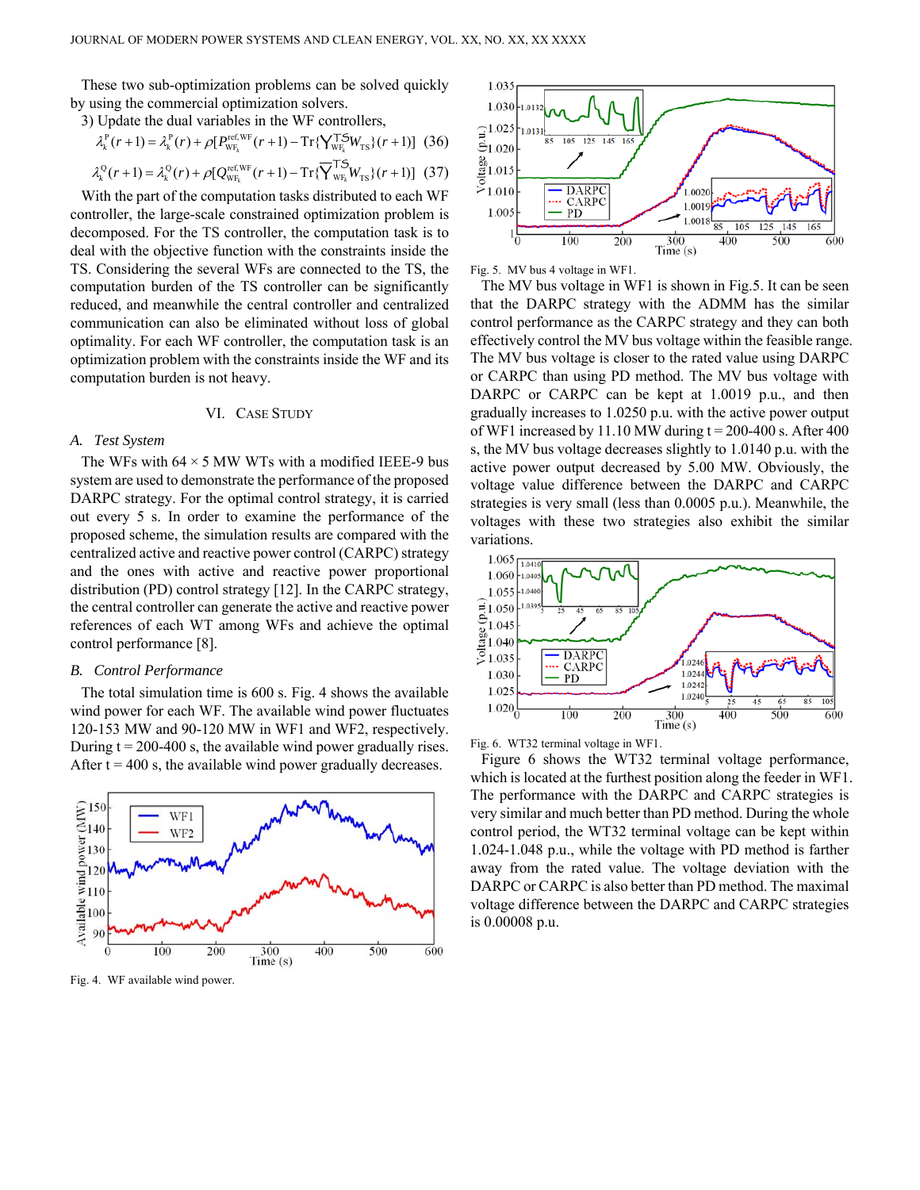These two sub-optimization problems can be solved quickly by using the commercial optimization solvers.

3) Update the dual variables in the WF controllers,

$$
\lambda_k^{\mathrm{P}}(r+1) = \lambda_k^{\mathrm{P}}(r) + \rho [P_{\mathrm{WF}_k}^{\mathrm{ref, WF}}(r+1) - \mathrm{Tr}\{\mathbf{Y}_{\mathrm{WF}_k}^{\mathbf{T5}}W_{\mathrm{TS}}\}(r+1)] \tag{36}
$$
  

$$
\lambda_k^{\mathrm{Q}}(r+1) = \lambda_k^{\mathrm{Q}}(r) + \rho [Q_{\mathrm{WF}_k}^{\mathrm{ref, WF}}(r+1) - \mathrm{Tr}\{\overline{\mathbf{Y}}_{\mathrm{WF}_k}^{\mathbf{T5}}W_{\mathrm{TS}}\}(r+1)] \tag{37}
$$

With the part of the computation tasks distributed to each WF controller, the large-scale constrained optimization problem is decomposed. For the TS controller, the computation task is to deal with the objective function with the constraints inside the TS. Considering the several WFs are connected to the TS, the computation burden of the TS controller can be significantly reduced, and meanwhile the central controller and centralized communication can also be eliminated without loss of global optimality. For each WF controller, the computation task is an optimization problem with the constraints inside the WF and its computation burden is not heavy.

## VI. CASE STUDY

## *A. Test System*

The WFs with  $64 \times 5$  MW WTs with a modified IEEE-9 bus system are used to demonstrate the performance of the proposed DARPC strategy. For the optimal control strategy, it is carried out every 5 s. In order to examine the performance of the proposed scheme, the simulation results are compared with the centralized active and reactive power control (CARPC) strategy and the ones with active and reactive power proportional distribution (PD) control strategy [12]. In the CARPC strategy, the central controller can generate the active and reactive power references of each WT among WFs and achieve the optimal control performance [8].

### *B. Control Performance*

The total simulation time is 600 s. Fig. 4 shows the available wind power for each WF. The available wind power fluctuates 120-153 MW and 90-120 MW in WF1 and WF2, respectively. During  $t = 200-400$  s, the available wind power gradually rises. After  $t = 400$  s, the available wind power gradually decreases.



Fig. 4. WF available wind power.



Fig. 5. MV bus 4 voltage in WF1.

The MV bus voltage in WF1 is shown in Fig.5. It can be seen that the DARPC strategy with the ADMM has the similar control performance as the CARPC strategy and they can both effectively control the MV bus voltage within the feasible range. The MV bus voltage is closer to the rated value using DARPC or CARPC than using PD method. The MV bus voltage with DARPC or CARPC can be kept at 1.0019 p.u., and then gradually increases to 1.0250 p.u. with the active power output of WF1 increased by 11.10 MW during  $t = 200-400$  s. After 400 s, the MV bus voltage decreases slightly to 1.0140 p.u. with the active power output decreased by 5.00 MW. Obviously, the voltage value difference between the DARPC and CARPC strategies is very small (less than 0.0005 p.u.). Meanwhile, the voltages with these two strategies also exhibit the similar variations.



Fig. 6. WT32 terminal voltage in WF1.

Figure 6 shows the WT32 terminal voltage performance, which is located at the furthest position along the feeder in WF1. The performance with the DARPC and CARPC strategies is very similar and much better than PD method. During the whole control period, the WT32 terminal voltage can be kept within 1.024-1.048 p.u., while the voltage with PD method is farther away from the rated value. The voltage deviation with the DARPC or CARPC is also better than PD method. The maximal voltage difference between the DARPC and CARPC strategies is 0.00008 p.u.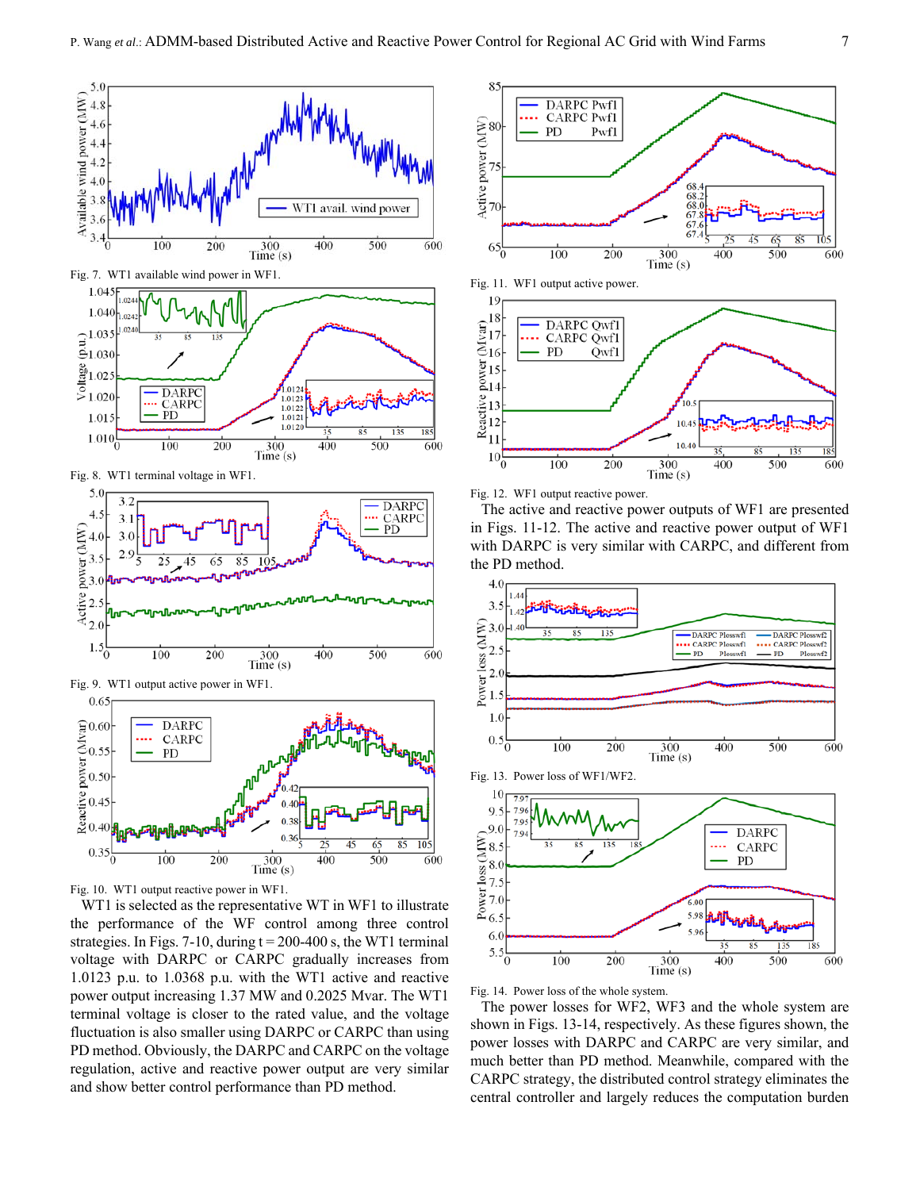

 $1.04$ 1.040  $\widehat{\vec{e}}_{1.030}^{1.035}$  $\frac{8}{5}1.02$  $.012$ S **DARPC**  $1.02($ 1.0123 **CARPC**<br>PD 1.0122  $1.0121$ 1.015 1.0120 185  $1.010\frac{[}{]}$  $\frac{100}{100}$  $\frac{1}{200}$  $\frac{1}{300}$  $\frac{1}{400}$  $\frac{1}{500}$  $\overline{600}$  $Time(s)$ 

Fig. 8. WT1 terminal voltage in WF1.



Fig. 9. WT1 output active power in WF1.



Fig. 10. WT1 output reactive power in WF1.

WT1 is selected as the representative WT in WF1 to illustrate the performance of the WF control among three control strategies. In Figs. 7-10, during  $t = 200-400$  s, the WT1 terminal voltage with DARPC or CARPC gradually increases from 1.0123 p.u. to 1.0368 p.u. with the WT1 active and reactive power output increasing 1.37 MW and 0.2025 Mvar. The WT1 terminal voltage is closer to the rated value, and the voltage fluctuation is also smaller using DARPC or CARPC than using PD method. Obviously, the DARPC and CARPC on the voltage regulation, active and reactive power output are very similar and show better control performance than PD method.



Fig. 12. WF1 output reactive power.

The active and reactive power outputs of WF1 are presented in Figs. 11-12. The active and reactive power output of WF1 with DARPC is very similar with CARPC, and different from the PD method.







Fig. 14. Power loss of the whole system.

The power losses for WF2, WF3 and the whole system are shown in Figs. 13-14, respectively. As these figures shown, the power losses with DARPC and CARPC are very similar, and much better than PD method. Meanwhile, compared with the CARPC strategy, the distributed control strategy eliminates the central controller and largely reduces the computation burden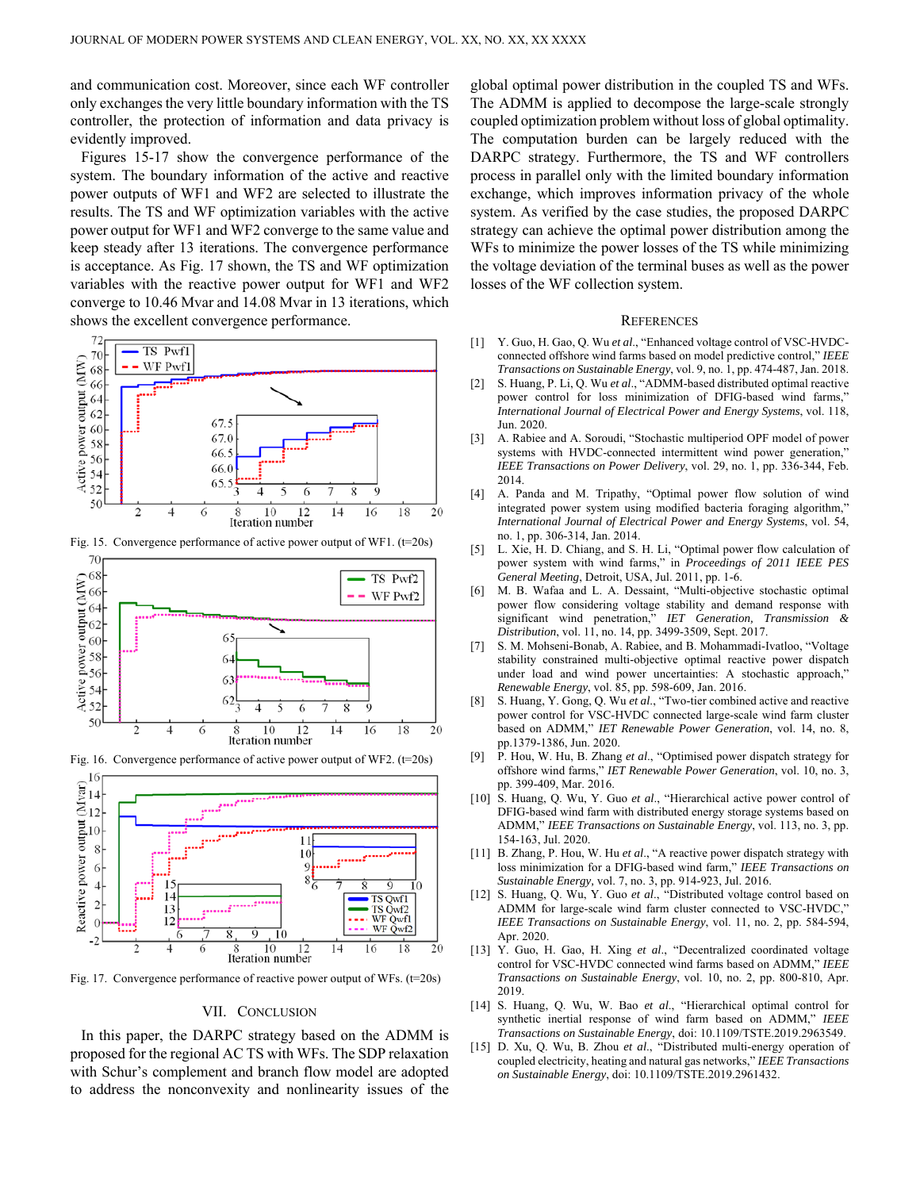and communication cost. Moreover, since each WF controller only exchanges the very little boundary information with the TS controller, the protection of information and data privacy is evidently improved.

Figures 15-17 show the convergence performance of the system. The boundary information of the active and reactive power outputs of WF1 and WF2 are selected to illustrate the results. The TS and WF optimization variables with the active power output for WF1 and WF2 converge to the same value and keep steady after 13 iterations. The convergence performance is acceptance. As Fig. 17 shown, the TS and WF optimization variables with the reactive power output for WF1 and WF2 converge to 10.46 Mvar and 14.08 Mvar in 13 iterations, which shows the excellent convergence performance.



Fig. 15. Convergence performance of active power output of WF1. (t=20s)





Fig. 16. Convergence performance of active power output of WF2. (t=20s)

Fig. 17. Convergence performance of reactive power output of WFs. (t=20s)

#### VII. CONCLUSION

In this paper, the DARPC strategy based on the ADMM is proposed for the regional AC TS with WFs. The SDP relaxation with Schur's complement and branch flow model are adopted to address the nonconvexity and nonlinearity issues of the global optimal power distribution in the coupled TS and WFs. The ADMM is applied to decompose the large-scale strongly coupled optimization problem without loss of global optimality. The computation burden can be largely reduced with the DARPC strategy. Furthermore, the TS and WF controllers process in parallel only with the limited boundary information exchange, which improves information privacy of the whole system. As verified by the case studies, the proposed DARPC strategy can achieve the optimal power distribution among the WFs to minimize the power losses of the TS while minimizing the voltage deviation of the terminal buses as well as the power losses of the WF collection system.

#### **REFERENCES**

- [1] Y. Guo, H. Gao, Q. Wu *et al*., "Enhanced voltage control of VSC-HVDCconnected offshore wind farms based on model predictive control," *IEEE Transactions on Sustainable Energy*, vol. 9, no. 1, pp. 474-487, Jan. 2018.
- [2] S. Huang, P. Li, Q. Wu *et al*., "ADMM-based distributed optimal reactive power control for loss minimization of DFIG-based wind farms," *International Journal of Electrical Power and Energy Systems*, vol. 118, Jun. 2020.
- [3] A. Rabiee and A. Soroudi, "Stochastic multiperiod OPF model of power systems with HVDC-connected intermittent wind power generation," *IEEE Transactions on Power Delivery*, vol. 29, no. 1, pp. 336-344, Feb. 2014.
- [4] A. Panda and M. Tripathy, "Optimal power flow solution of wind integrated power system using modified bacteria foraging algorithm," *International Journal of Electrical Power and Energy Systems*, vol. 54, no. 1, pp. 306-314, Jan. 2014.
- [5] L. Xie, H. D. Chiang, and S. H. Li, "Optimal power flow calculation of power system with wind farms," in *Proceedings of 2011 IEEE PES General Meeting*, Detroit, USA, Jul. 2011, pp. 1-6.
- [6] M. B. Wafaa and L. A. Dessaint, "Multi-objective stochastic optimal power flow considering voltage stability and demand response with significant wind penetration," *IET Generation, Transmission & Distribution*, vol. 11, no. 14, pp. 3499-3509, Sept. 2017.
- [7] S. M. Mohseni-Bonab, A. Rabiee, and B. Mohammadi-Ivatloo, "Voltage stability constrained multi-objective optimal reactive power dispatch under load and wind power uncertainties: A stochastic approach," *Renewable Energy*, vol. 85, pp. 598-609, Jan. 2016.
- [8] S. Huang, Y. Gong, Q. Wu *et al*., "Two-tier combined active and reactive power control for VSC-HVDC connected large-scale wind farm cluster based on ADMM," *IET Renewable Power Generation*, vol. 14, no. 8, pp.1379-1386, Jun. 2020.
- [9] P. Hou, W. Hu, B. Zhang *et al*., "Optimised power dispatch strategy for offshore wind farms," *IET Renewable Power Generation*, vol. 10, no. 3, pp. 399-409, Mar. 2016.
- [10] S. Huang, Q. Wu, Y. Guo *et al*., "Hierarchical active power control of DFIG-based wind farm with distributed energy storage systems based on ADMM," *IEEE Transactions on Sustainable Energy*, vol. 113, no. 3, pp. 154-163, Jul. 2020.
- [11] B. Zhang, P. Hou, W. Hu *et al*., "A reactive power dispatch strategy with loss minimization for a DFIG-based wind farm," *IEEE Transactions on Sustainable Energy,* vol. 7, no. 3, pp. 914-923, Jul. 2016.
- [12] S. Huang, Q. Wu, Y. Guo *et al*., "Distributed voltage control based on ADMM for large-scale wind farm cluster connected to VSC-HVDC," *IEEE Transactions on Sustainable Energy*, vol. 11, no. 2, pp. 584-594, Apr. 2020.
- [13] Y. Guo, H. Gao, H. Xing *et al*., "Decentralized coordinated voltage control for VSC-HVDC connected wind farms based on ADMM," *IEEE Transactions on Sustainable Energy*, vol. 10, no. 2, pp. 800-810, Apr. 2019.
- [14] S. Huang, Q. Wu, W. Bao *et al*., "Hierarchical optimal control for synthetic inertial response of wind farm based on ADMM," *IEEE Transactions on Sustainable Energy*, doi: 10.1109/TSTE.2019.2963549.
- [15] D. Xu, Q. Wu, B. Zhou *et al*., "Distributed multi-energy operation of coupled electricity, heating and natural gas networks," *IEEE Transactions on Sustainable Energy*, doi: 10.1109/TSTE.2019.2961432.